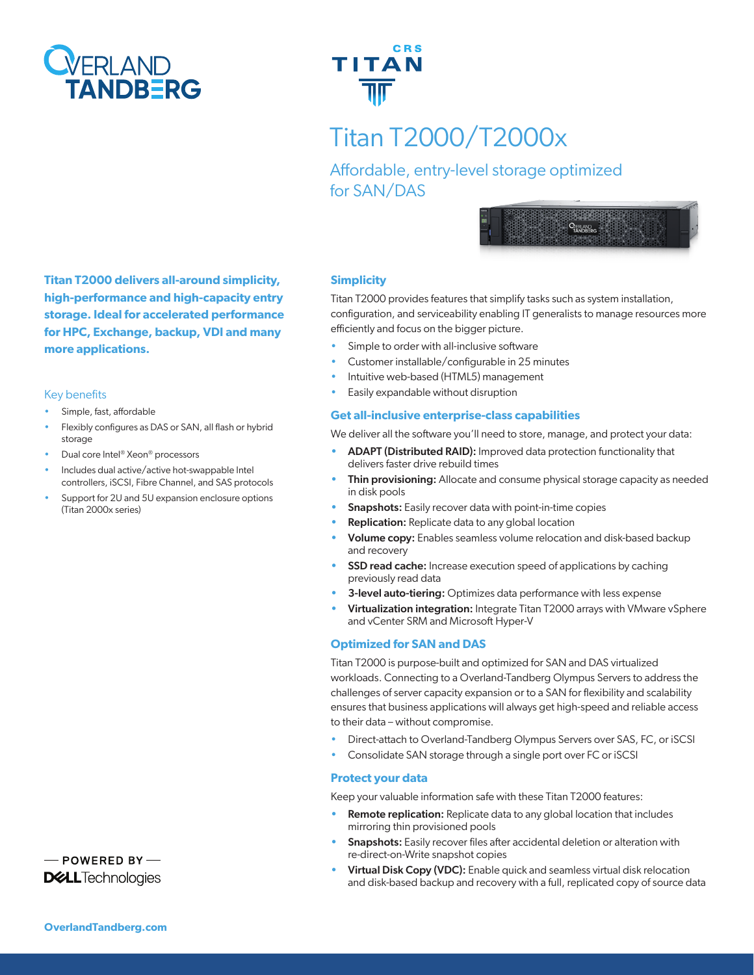



# Titan T2000/T2000x

Affordable, entry-level storage optimized for SAN/DAS



**Titan T2000 delivers all-around simplicity, high-performance and high-capacity entry storage. Ideal for accelerated performance for HPC, Exchange, backup, VDI and many more applications.**

#### Key benefits

- Simple, fast, affordable
- Flexibly configures as DAS or SAN, all flash or hybrid storage
- Dual core Intel® Xeon® processors
- Includes dual active/active hot-swappable Intel controllers, iSCSI, Fibre Channel, and SAS protocols
- Support for 2U and 5U expansion enclosure options (Titan 2000x series)

### **Simplicity**

Titan T2000 provides features that simplify tasks such as system installation, configuration, and serviceability enabling IT generalists to manage resources more efficiently and focus on the bigger picture.

- Simple to order with all-inclusive software
- Customer installable/configurable in 25 minutes
- Intuitive web-based (HTML5) management
- Easily expandable without disruption

### **Get all-inclusive enterprise-class capabilities**

We deliver all the software you'll need to store, manage, and protect your data:

- ADAPT (Distributed RAID): Improved data protection functionality that delivers faster drive rebuild times
- Thin provisioning: Allocate and consume physical storage capacity as needed in disk pools
- **Snapshots:** Easily recover data with point-in-time copies
- **Replication:** Replicate data to any global location
- Volume copy: Enables seamless volume relocation and disk-based backup and recovery
- **SSD read cache:** Increase execution speed of applications by caching previously read data
- 3-level auto-tiering: Optimizes data performance with less expense
- Virtualization integration: Integrate Titan T2000 arrays with VMware vSphere and vCenter SRM and Microsoft Hyper-V

# **Optimized for SAN and DAS**

Titan T2000 is purpose-built and optimized for SAN and DAS virtualized workloads. Connecting to a Overland-Tandberg Olympus Servers to address the challenges of server capacity expansion or to a SAN for flexibility and scalability ensures that business applications will always get high-speed and reliable access to their data – without compromise.

- Direct-attach to Overland-Tandberg Olympus Servers over SAS, FC, or iSCSI
- Consolidate SAN storage through a single port over FC or iSCSI

# **Protect your data**

Keep your valuable information safe with these Titan T2000 features:

- **Remote replication:** Replicate data to any global location that includes mirroring thin provisioned pools
- **Snapshots:** Easily recover files after accidental deletion or alteration with re-direct-on-Write snapshot copies
- Virtual Disk Copy (VDC): Enable quick and seamless virtual disk relocation and disk-based backup and recovery with a full, replicated copy of source data

- POWERED BY **DGLL**Technologies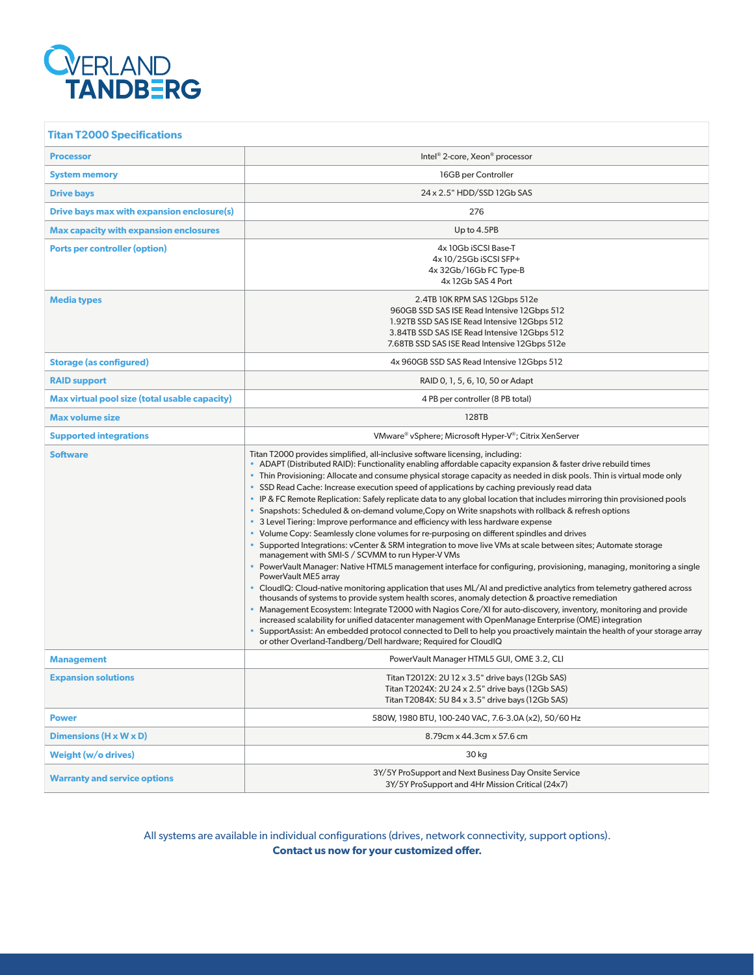# **Q**<br> **CONTAND TANDBERG**

| <b>Titan T2000 Specifications</b>             |                                                                                                                                                                                                                                                                                                                                                                                                                                                                                                                                                                                                                                                                                                                                                                                                                                                                                                                                                                                                                                                                                                                                                                                                                                                                                                                                                                                                                                                                                                                                                                                                                                                                                                                                                                                                                        |  |  |
|-----------------------------------------------|------------------------------------------------------------------------------------------------------------------------------------------------------------------------------------------------------------------------------------------------------------------------------------------------------------------------------------------------------------------------------------------------------------------------------------------------------------------------------------------------------------------------------------------------------------------------------------------------------------------------------------------------------------------------------------------------------------------------------------------------------------------------------------------------------------------------------------------------------------------------------------------------------------------------------------------------------------------------------------------------------------------------------------------------------------------------------------------------------------------------------------------------------------------------------------------------------------------------------------------------------------------------------------------------------------------------------------------------------------------------------------------------------------------------------------------------------------------------------------------------------------------------------------------------------------------------------------------------------------------------------------------------------------------------------------------------------------------------------------------------------------------------------------------------------------------------|--|--|
| <b>Processor</b>                              | Intel <sup>®</sup> 2-core, Xeon <sup>®</sup> processor                                                                                                                                                                                                                                                                                                                                                                                                                                                                                                                                                                                                                                                                                                                                                                                                                                                                                                                                                                                                                                                                                                                                                                                                                                                                                                                                                                                                                                                                                                                                                                                                                                                                                                                                                                 |  |  |
| <b>System memory</b>                          | 16GB per Controller                                                                                                                                                                                                                                                                                                                                                                                                                                                                                                                                                                                                                                                                                                                                                                                                                                                                                                                                                                                                                                                                                                                                                                                                                                                                                                                                                                                                                                                                                                                                                                                                                                                                                                                                                                                                    |  |  |
| <b>Drive bays</b>                             | 24 x 2.5" HDD/SSD 12Gb SAS                                                                                                                                                                                                                                                                                                                                                                                                                                                                                                                                                                                                                                                                                                                                                                                                                                                                                                                                                                                                                                                                                                                                                                                                                                                                                                                                                                                                                                                                                                                                                                                                                                                                                                                                                                                             |  |  |
| Drive bays max with expansion enclosure(s)    | 276                                                                                                                                                                                                                                                                                                                                                                                                                                                                                                                                                                                                                                                                                                                                                                                                                                                                                                                                                                                                                                                                                                                                                                                                                                                                                                                                                                                                                                                                                                                                                                                                                                                                                                                                                                                                                    |  |  |
| <b>Max capacity with expansion enclosures</b> | Up to 4.5PB                                                                                                                                                                                                                                                                                                                                                                                                                                                                                                                                                                                                                                                                                                                                                                                                                                                                                                                                                                                                                                                                                                                                                                                                                                                                                                                                                                                                                                                                                                                                                                                                                                                                                                                                                                                                            |  |  |
| Ports per controller (option)                 | 4x 10Gb iSCSI Base-T<br>4x 10/25Gb iSCSI SFP+<br>4x 32Gb/16Gb FC Type-B<br>4x 12Gb SAS 4 Port                                                                                                                                                                                                                                                                                                                                                                                                                                                                                                                                                                                                                                                                                                                                                                                                                                                                                                                                                                                                                                                                                                                                                                                                                                                                                                                                                                                                                                                                                                                                                                                                                                                                                                                          |  |  |
| <b>Media types</b>                            | 2.4TB 10K RPM SAS 12Gbps 512e<br>960GB SSD SAS ISE Read Intensive 12Gbps 512<br>1.92TB SSD SAS ISE Read Intensive 12Gbps 512<br>3.84TB SSD SAS ISE Read Intensive 12Gbps 512<br>7.68TB SSD SAS ISE Read Intensive 12Gbps 512e                                                                                                                                                                                                                                                                                                                                                                                                                                                                                                                                                                                                                                                                                                                                                                                                                                                                                                                                                                                                                                                                                                                                                                                                                                                                                                                                                                                                                                                                                                                                                                                          |  |  |
| <b>Storage (as configured)</b>                | 4x 960GB SSD SAS Read Intensive 12Gbps 512                                                                                                                                                                                                                                                                                                                                                                                                                                                                                                                                                                                                                                                                                                                                                                                                                                                                                                                                                                                                                                                                                                                                                                                                                                                                                                                                                                                                                                                                                                                                                                                                                                                                                                                                                                             |  |  |
| <b>RAID support</b>                           | RAID 0, 1, 5, 6, 10, 50 or Adapt                                                                                                                                                                                                                                                                                                                                                                                                                                                                                                                                                                                                                                                                                                                                                                                                                                                                                                                                                                                                                                                                                                                                                                                                                                                                                                                                                                                                                                                                                                                                                                                                                                                                                                                                                                                       |  |  |
| Max virtual pool size (total usable capacity) | 4 PB per controller (8 PB total)                                                                                                                                                                                                                                                                                                                                                                                                                                                                                                                                                                                                                                                                                                                                                                                                                                                                                                                                                                                                                                                                                                                                                                                                                                                                                                                                                                                                                                                                                                                                                                                                                                                                                                                                                                                       |  |  |
| <b>Max volume size</b>                        | 128TB                                                                                                                                                                                                                                                                                                                                                                                                                                                                                                                                                                                                                                                                                                                                                                                                                                                                                                                                                                                                                                                                                                                                                                                                                                                                                                                                                                                                                                                                                                                                                                                                                                                                                                                                                                                                                  |  |  |
| <b>Supported integrations</b>                 | VMware® vSphere; Microsoft Hyper-V®; Citrix XenServer                                                                                                                                                                                                                                                                                                                                                                                                                                                                                                                                                                                                                                                                                                                                                                                                                                                                                                                                                                                                                                                                                                                                                                                                                                                                                                                                                                                                                                                                                                                                                                                                                                                                                                                                                                  |  |  |
| <b>Software</b>                               | Titan T2000 provides simplified, all-inclusive software licensing, including:<br>ADAPT (Distributed RAID): Functionality enabling affordable capacity expansion & faster drive rebuild times<br>• Thin Provisioning: Allocate and consume physical storage capacity as needed in disk pools. Thin is virtual mode only<br>• SSD Read Cache: Increase execution speed of applications by caching previously read data<br>• IP & FC Remote Replication: Safely replicate data to any global location that includes mirroring thin provisioned pools<br>• Snapshots: Scheduled & on-demand volume, Copy on Write snapshots with rollback & refresh options<br>• 3 Level Tiering: Improve performance and efficiency with less hardware expense<br>• Volume Copy: Seamlessly clone volumes for re-purposing on different spindles and drives<br>• Supported Integrations: vCenter & SRM integration to move live VMs at scale between sites; Automate storage<br>management with SMI-S / SCVMM to run Hyper-V VMs<br>• PowerVault Manager: Native HTML5 management interface for configuring, provisioning, managing, monitoring a single<br>PowerVault ME5 array<br>• CloudIQ: Cloud-native monitoring application that uses ML/AI and predictive analytics from telemetry gathered across<br>thousands of systems to provide system health scores, anomaly detection & proactive remediation<br>• Management Ecosystem: Integrate T2000 with Nagios Core/XI for auto-discovery, inventory, monitoring and provide<br>increased scalability for unified datacenter management with OpenManage Enterprise (OME) integration<br>• SupportAssist: An embedded protocol connected to Dell to help you proactively maintain the health of your storage array<br>or other Overland-Tandberg/Dell hardware; Required for CloudIQ |  |  |
| <b>Management</b>                             | PowerVault Manager HTML5 GUI, OME 3.2, CLI                                                                                                                                                                                                                                                                                                                                                                                                                                                                                                                                                                                                                                                                                                                                                                                                                                                                                                                                                                                                                                                                                                                                                                                                                                                                                                                                                                                                                                                                                                                                                                                                                                                                                                                                                                             |  |  |
| <b>Expansion solutions</b>                    | Titan T2012X: 2U 12 x 3.5" drive bays (12Gb SAS)<br>Titan T2024X: 2U 24 x 2.5" drive bays (12Gb SAS)<br>Titan T2084X: 5U 84 x 3.5" drive bays (12Gb SAS)                                                                                                                                                                                                                                                                                                                                                                                                                                                                                                                                                                                                                                                                                                                                                                                                                                                                                                                                                                                                                                                                                                                                                                                                                                                                                                                                                                                                                                                                                                                                                                                                                                                               |  |  |
| <b>Power</b>                                  | 580W, 1980 BTU, 100-240 VAC, 7.6-3.0A (x2), 50/60 Hz                                                                                                                                                                                                                                                                                                                                                                                                                                                                                                                                                                                                                                                                                                                                                                                                                                                                                                                                                                                                                                                                                                                                                                                                                                                                                                                                                                                                                                                                                                                                                                                                                                                                                                                                                                   |  |  |
| Dimensions $(H \times W \times D)$            | 8.79cm x 44.3cm x 57.6 cm                                                                                                                                                                                                                                                                                                                                                                                                                                                                                                                                                                                                                                                                                                                                                                                                                                                                                                                                                                                                                                                                                                                                                                                                                                                                                                                                                                                                                                                                                                                                                                                                                                                                                                                                                                                              |  |  |
| Weight (w/o drives)                           | 30 kg                                                                                                                                                                                                                                                                                                                                                                                                                                                                                                                                                                                                                                                                                                                                                                                                                                                                                                                                                                                                                                                                                                                                                                                                                                                                                                                                                                                                                                                                                                                                                                                                                                                                                                                                                                                                                  |  |  |
| <b>Warranty and service options</b>           | 3Y/5Y ProSupport and Next Business Day Onsite Service<br>3Y/5Y ProSupport and 4Hr Mission Critical (24x7)                                                                                                                                                                                                                                                                                                                                                                                                                                                                                                                                                                                                                                                                                                                                                                                                                                                                                                                                                                                                                                                                                                                                                                                                                                                                                                                                                                                                                                                                                                                                                                                                                                                                                                              |  |  |

All systems are available in individual configurations (drives, network connectivity, support options). **Contact us now for your customized offer.**